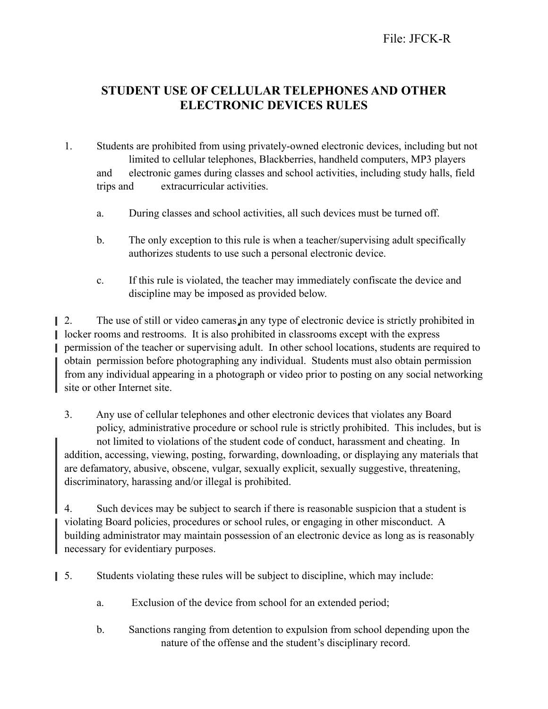## **STUDENT USE OF CELLULAR TELEPHONES AND OTHER ELECTRONIC DEVICES RULES**

- 1. Students are prohibited from using privately-owned electronic devices, including but not limited to cellular telephones, Blackberries, handheld computers, MP3 players and electronic games during classes and school activities, including study halls, field trips and extracurricular activities.
	- a. During classes and school activities, all such devices must be turned off.
	- b. The only exception to this rule is when a teacher/supervising adult specifically authorizes students to use such a personal electronic device.
	- c. If this rule is violated, the teacher may immediately confiscate the device and discipline may be imposed as provided below.

 $\Box$  2. The use of still or video cameras in any type of electronic device is strictly prohibited in locker rooms and restrooms. It is also prohibited in classrooms except with the express permission of the teacher or supervising adult. In other school locations, students are required to obtain permission before photographing any individual. Students must also obtain permission from any individual appearing in a photograph or video prior to posting on any social networking site or other Internet site.

3. Any use of cellular telephones and other electronic devices that violates any Board policy, administrative procedure or school rule is strictly prohibited. This includes, but is not limited to violations of the student code of conduct, harassment and cheating. In addition, accessing, viewing, posting, forwarding, downloading, or displaying any materials that are defamatory, abusive, obscene, vulgar, sexually explicit, sexually suggestive, threatening, discriminatory, harassing and/or illegal is prohibited.

4. Such devices may be subject to search if there is reasonable suspicion that a student is violating Board policies, procedures or school rules, or engaging in other misconduct. A building administrator may maintain possession of an electronic device as long as is reasonably necessary for evidentiary purposes.

5. Students violating these rules will be subject to discipline, which may include:

- a. Exclusion of the device from school for an extended period;
- b. Sanctions ranging from detention to expulsion from school depending upon the nature of the offense and the student's disciplinary record.